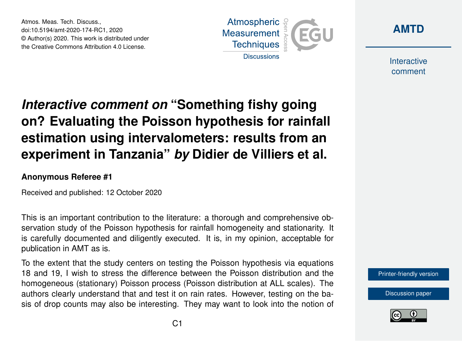Atmos. Meas. Tech. Discuss., doi:10.5194/amt-2020-174-RC1, 2020 © Author(s) 2020. This work is distributed under the Creative Commons Attribution 4.0 License.





Interactive comment

## *Interactive comment on* **"Something fishy going on? Evaluating the Poisson hypothesis for rainfall estimation using intervalometers: results from an experiment in Tanzania"** *by* **Didier de Villiers et al.**

## **Anonymous Referee #1**

Received and published: 12 October 2020

This is an important contribution to the literature: a thorough and comprehensive observation study of the Poisson hypothesis for rainfall homogeneity and stationarity. It is carefully documented and diligently executed. It is, in my opinion, acceptable for publication in AMT as is.

To the extent that the study centers on testing the Poisson hypothesis via equations 18 and 19, I wish to stress the difference between the Poisson distribution and the homogeneous (stationary) Poisson process (Poisson distribution at ALL scales). The authors clearly understand that and test it on rain rates. However, testing on the basis of drop counts may also be interesting. They may want to look into the notion of



[Discussion paper](https://amt.copernicus.org/preprints/amt-2020-174)